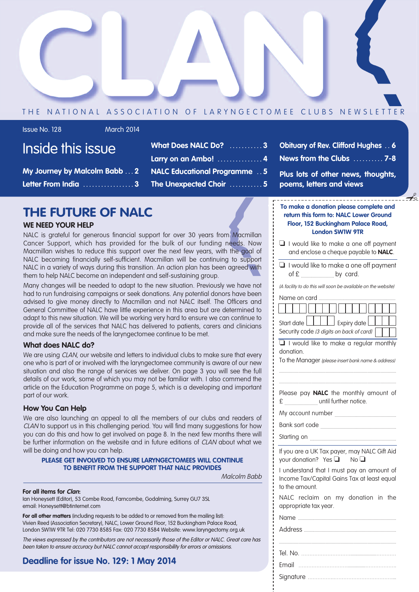

#### THE NATIONAL ASSOCIATION OF LARYNGECTOMEE CLUBS NEWSLETTER

Issue No. 128 March 2014

| Inside this issue |  |  |
|-------------------|--|--|
|                   |  |  |
|                   |  |  |
|                   |  |  |

**My Journey by Malcolm Babb . . . 2 Letter From India . . . . . . . . . . . . . . . . . 3**

- **What Does NALC Do? . . . . . . . . . . . 3 Larry on an Ambo! . . . . . . . . . . . . . . . 4 NALC Educational Programme . . 5 The Unexpected Choir . . . . . . . . . . . 5**
- **Obituary of Rev. Clifford Hughes . . 6 News from the Clubs . . . . . . . . . . 7-8**
- **Plus lots of other news, thoughts, poems, letters and views**

## **THE FUTURE OF NALC**

#### **WE NEED YOUR HELP**

NALC is grateful for generous financial support for over 30 years from Macmillan Cancer Support, which has provided for the bulk of our funding needs. Now Macmillan wishes to reduce this support over the next few years, with the goal of NALC becoming financially self-sufficient. Macmillan will be continuing to support NALC in a variety of ways during this transition. An action plan has been agreed with them to help NALC become an independent and self-sustaining group.

Many changes will be needed to adapt to the new situation. Previously we have not had to run fundraising campaigns or seek donations. Any potential donors have been advised to give money directly to Macmillan and not NALC itself. The Officers and General Committee of NALC have little experience in this area but are determined to adapt to this new situation. We will be working very hard to ensure we can continue to provide all of the services that NALC has delivered to patients, carers and clinicians and make sure the needs of the laryngectomee continue to be met.

#### **What does NALC do?**

We are using CLAN, our website and letters to individual clubs to make sure that every one who is part of or involved with the laryngectomee community is aware of our new situation and also the range of services we deliver. On page 3 you will see the full details of our work, some of which you may not be familiar with. I also commend the article on the Education Programme on page 5, which is a developing and important part of our work.

#### **How You Can Help**

We are also launching an appeal to all the members of our clubs and readers of CLAN to support us in this challenging period. You will find many suggestions for how you can do this and how to get involved on page 8. In the next few months there will be further information on the website and in future editions of CLAN about what we will be doing and how you can help.

#### **PLEASE GET INVOLVED TO ENSURE LARYNGECTOMEES WILL CONTINUE TO BENEFIT FROM THE SUPPORT THAT NALC PROVIDES**

Malcolm Babb

#### **For all items for Clan:**

Ian Honeysett (Editor), 53 Combe Road, Farncombe, Godalming, Surrey GU7 3SL email: Honeysett@btinternet.com

**For all other matters** (including requests to be added to or removed from the mailing list): Vivien Reed (Association Secretary), NALC, Lower Ground Floor, 152 Buckingham Palace Road, London SW1W 9TR Tel: 020 7730 8585 Fax: 020 7730 8584 Website: www.laryngectomy.org.uk

The views expressed by the contributors are not necessarily those of the Editor or NALC. Great care has been taken to ensure accuracy but NALC cannot accept responsibility for errors or omissions.

#### **Deadline for issue No. 129: 1 May 2014**

#### **To make a donation please complete and return this form to: NALC Lower Ground Floor, 152 Buckingham Palace Road, London SW1W 9TR** ✃

- ❏ I would like to make a one off payment and enclose a cheque payable to **NALC**.
- ❏ I would like to make a one off payment  $of  $f$$  by card.

(A facility to do this will soon be available on the website)

|--|--|

| Start date           Expiry date         |  |  |
|------------------------------------------|--|--|
| Security code (3 digits on back of card) |  |  |

❏ I would like to make a regular monthly donation.

To the Manager (please insert bank name & address) ..................................................................................................

Please pay **NALC** the monthly amount of £ ............................ until further notice.

..................................................................................................

My account number ....................................................

Bank sort code .................

Starting on .........................................................................

If you are a UK Tax payer, may NALC Gift Aid your donation? Yes ❏ No ❏

I understand that I must pay an amount of Income Tax/Capital Gains Tax at least equal to the amount.

NALC reclaim on my donation in the appropriate tax year.

Name ...................................................................................

Address ..............................................................................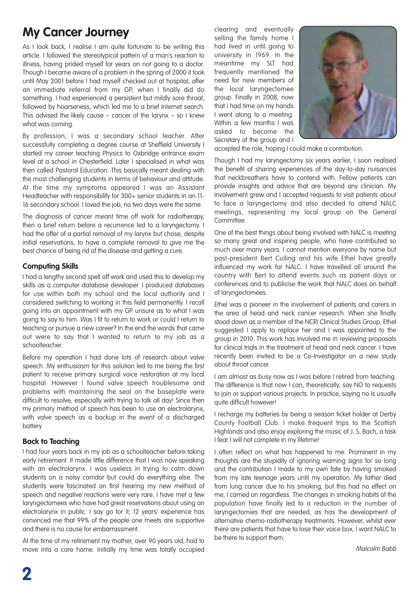## **My Cancer Journey**

As I look back, I realise I am quite fortunate to be writing this article. I followed the stereotypical pattern of a man's reaction to illness, having prided myself for years on not going to a doctor. Though I became aware of a problem in the spring of 2000 it took until May 2001 before I had myself checked out at hospital, after an immediate referral from my GP, when I finally did do something. I had experienced a persistent but mildly sore throat, followed by hoarseness, which led me to a brief internet search. This advised the likely cause – cancer of the larynx – so I knew what was coming.

By profession, I was a secondary school teacher. After successfully completing a degree course at Sheffield University I started my career teaching Physics to Oxbridge entrance exam level at a school in Chesterfield. Later I specialised in what was then called Pastoral Education. This basically meant dealing with the most challenging students in terms of behaviour and attitude. At the time my symptoms appeared I was an Assistant Headteacher with responsibility for 300+ senior students in an 11- 16 secondary school. I loved the job; no two days were the same.

The diagnosis of cancer meant time off work for radiotherapy, then a brief return before a recurrence led to a laryngectomy. I had the offer of a partial removal of my larynx but chose, despite initial reservations, to have a complete removal to give me the best chance of being rid of the disease and getting a cure.

#### **Computing Skills**

I had a lengthy second spell off work and used this to develop my skills as a computer database developer. I produced databases for use within both my school and the local authority and I considered switching to working in this field permanently. I recall going into an appointment with my GP unsure as to what I was going to say to him. Was I fit to return to work or could I return to teaching or pursue a new career? In the end the words that came out were to say that I wanted to return to my job as a schoolteacher.

Before my operation I had done lots of research about valve speech. My enthusiasm for this solution led to me being the first patient to receive primary surgical voice restoration at my local hospital. However I found valve speech troublesome and problems with maintaining the seal on the baseplate were difficult to resolve, especially with trying to talk all day! Since then my primary method of speech has been to use an electrolarynx, with valve speech as a backup in the event of a discharged battery.

#### **Back to Teaching**

I had four years back in my job as a schoolteacher before taking early retirement. It made little difference that I was now speaking with an electrolarynx. I was useless in trying to calm down students on a noisy corridor but could do everything else. The students were fascinated on first hearing my new method of speech and negative reactions were very rare. I have met a few laryngectomees who have had great reservations about using an electrolarynx in public. I say go for it; 12 years' experience has convinced me that 99% of the people one meets are supportive and there is no cause for embarrassment.

At the time of my retirement my mother, over 90 years old, had to move into a care home. Initially my time was totally occupied clearing and eventually selling the family home I had lived in until going to university in 1969. In the meantime my SLT had frequently mentioned the need for new members of the local laryngectomee group. Finally in 2008, now that I had time on my hands I went along to a meeting. Within a few months I was asked to become the Secretary of the group and I



accepted the role, hoping I could make a contribution.

Though I had my laryngectomy six years earlier, I soon realised the benefit of sharing experiences of the day-to-day nuisances that neckbreathers have to contend with. Fellow patients can provide insights and advice that are beyond any clinician. My involvement grew and I accepted requests to visit patients about to face a laryngectomy and also decided to attend NALC meetings, representing my local group on the General Committee.

One of the best things about being involved with NALC is meeting so many great and inspiring people, who have contributed so much over many years. I cannot mention everyone by name but past-president Bert Culling and his wife Ethel have greatly influenced my work for NALC. I have travelled all around the country with Bert to attend events such as patient days or conferences and to publicise the work that NALC does on behalf of laryngectomees.

Ethel was a pioneer in the involvement of patients and carers in the area of head and neck cancer research. When she finally stood down as a member of the NCRI Clinical Studies Group, Ethel suggested I apply to replace her and I was appointed to the group in 2010. This work has involved me in reviewing proposals for clinical trials in the treatment of head and neck cancer. I have recently been invited to be a Co-Investigator on a new study about throat cancer.

I am almost as busy now as I was before I retired from teaching. The difference is that now I can, theoretically, say NO to requests to join or support various projects. In practice, saying no is usually quite difficult however!

I recharge my batteries by being a season ticket holder at Derby County Football Club. I make frequent trips to the Scottish Highlands and also enjoy exploring the music of J. S. Bach, a task I fear I will not complete in my lifetime!

I often reflect on what has happened to me. Prominent in my thoughts are the stupidity of ignoring warning signs for so long and the contribution I made to my own fate by having smoked from my late teenage years until my operation. My father died from lung cancer due to his smoking, but this had no effect on me, I carried on regardless. The changes in smoking habits of the population have finally led to a reduction in the number of laryngectomies that are needed, as has the development of alternative chemo-radiotherapy treatments. However, whilst ever there are patients that have to lose their voice box, I want NALC to be there to support them.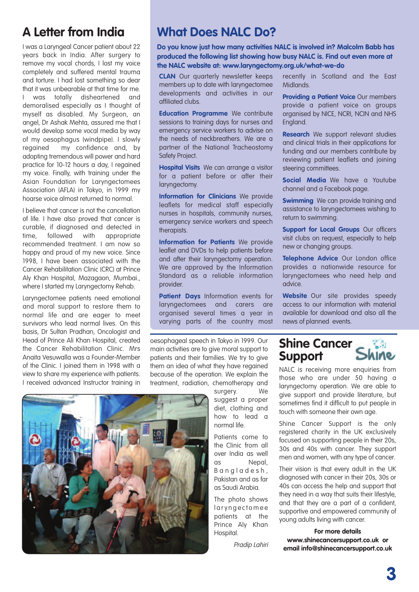## **A Letter from India**

I was a Laryngeal Cancer patient about 22 years back in India. After surgery to remove my vocal chords, I lost my voice completely and suffered mental trauma and torture. I had lost something so dear that it was unbearable at that time for me. I was totally disheartened and demoralised especially as I thought of myself as disabled. My Surgeon, an angel, Dr Ashak Mehta, assured me that I would develop some vocal media by way of my oesophagus (windpipe). I slowly regained my confidence and, by adopting tremendous will power and hard practice for 10-12 hours a day, I regained my voice. Finally, with training under the Asian Foundation for Laryngectomees Association (AFLA) in Tokyo, in 1999 my hoarse voice almost returned to normal.

I believe that cancer is not the cancellation of life. I have also proved that cancer is curable, if diagnosed and detected in time, followed with appropriate recommended treatment. I am now so happy and proud of my new voice. Since 1998, I have been associated with the Cancer Rehabilitation Clinic (CRC) at Prince Aly Khan Hospital, Mazagaon, Mumbai., where I started my Laryngectomy Rehab.

Laryngectomee patients need emotional and moral support to restore them to normal life and are eager to meet survivors who lead normal lives. On this basis, Dr Sultan Pradhan, Oncologist and Head of Prince Ali Khan Hospital, created the Cancer Rehabilitation Clinic. Mrs Anaita Vesuwalla was a Founder-Member of the Clinic. I joined them in 1998 with a view to share my experience with patients. I received advanced Instructor training in

## **What Does NALC Do?**

**Do you know just how many activities NALC is involved in? Malcolm Babb has produced the following list showing how busy NALC is. Find out even more at the NALC website at: www.laryngectomy.org.uk/what-we-do**

**CLAN** Our quarterly newsletter keeps members up to date with laryngectomee developments and activities in our affiliated clubs.

**Education Programme** We contribute sessions to training days for nurses and emergency service workers to advise on the needs of neckbreathers. We are a partner of the National Tracheostomy Safety Project.

**Hospital Visits** We can arrange a visitor for a patient before or after their laryngectomy.

**Information for Clinicians** We provide leaflets for medical staff especially nurses in hospitals, community nurses, emergency service workers and speech therapists.

**Information for Patients** We provide leaflet and DVDs to help patients before and after their laryngectomy operation. We are approved by the Information Standard as a reliable information provider.

**Patient Days** Information events for laryngectomees and carers are organised several times a year in varying parts of the country most

oesophageal speech in Tokyo in 1999. Our main activities are to give moral support to patients and their families. We try to give them an idea of what they have regained because of the operation. We explain the treatment, radiation, chemotherapy and

> surgery. We suggest a proper diet, clothing and how to lead a normal life.

Patients come to the Clinic from all over India as well as Nepal, B a n a l a d e s h , Pakistan and as far as Saudi Arabia.

The photo shows l ar y n g e c t o m e e patients at the Prince Aly Khan Hospital.

Pradip Lahiri

recently in Scotland and the East Midlands.

**Providing a Patient Voice** Our members provide a patient voice on groups organised by NICE, NCRI, NCIN and NHS England.

**Research** We support relevant studies and clinical trials in their applications for funding and our members contribute by reviewing patient leaflets and joining steering committees.

**Social Media** We have a Youtube channel and a Facebook page.

**Swimming** We can provide training and assistance to laryngectomees wishing to return to swimming.

**Support for Local Groups** Our officers visit clubs on request, especially to help new or changing groups.

**Telephone Advice** Our London office provides a nationwide resource for laryngectomees who need help and advice.

**Website** Our site provides speedy access to our information with material available for download and also all the news of planned events.

## **Shine Cancer Support**

NALC is receiving more enquiries from those who are under 50 having a laryngectomy operation. We are able to give support and provide literature, but sometimes find it difficult to put people in touch with someone their own age.

Shine Cancer Support is the only registered charity in the UK exclusively focused on supporting people in their 20s, 30s and 40s with cancer. They support men and women, with any type of cancer.

Their vision is that every adult in the UK diagnosed with cancer in their 20s, 30s or 40s can access the help and support that they need in a way that suits their lifestyle, and that they are a part of a confident, supportive and empowered community of young adults living with cancer.

**For more details www.shinecancersupport.co.uk or email info@shinecancersupport.co.uk**

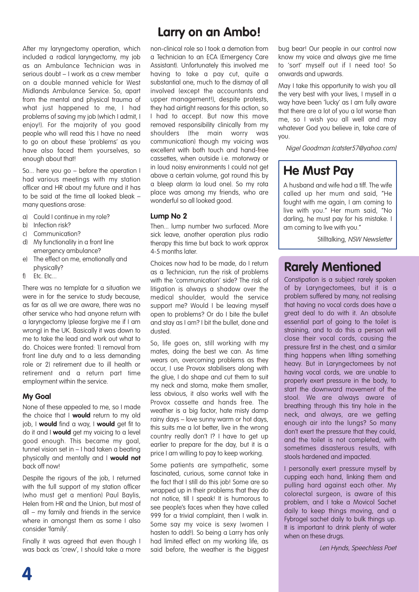After my laryngectomy operation, which included a radical laryngectomy, my job as an Ambulance Technician was in serious doubt – I work as a crew member on a double manned vehicle for West Midlands Ambulance Service. So, apart from the mental and physical trauma of what just happened to me. I had problems of saving my job (which I admit, I enjoy!). For the majority of you good people who will read this I have no need to go on about these 'problems' as you have also faced them yourselves, so enough about that!

So... here you go – before the operation I had various meetings with my station officer and HR about my future and it has to be said at the time all looked bleak – many questions arose:

- a) Could I continue in my role?
- b) Infection risk?
- c) Communication?
- d) My functionality in a front line emergency ambulance?
- e) The effect on me, emotionally and physically?
- f) Etc. Etc...

There was no template for a situation we were in for the service to study because, as far as all we are aware, there was no other service who had anyone return with a laryngectomy (please forgive me if I am wrong) in the UK. Basically it was down to me to take the lead and work out what to do. Choices were fronted: 1) removal from front line duty and to a less demanding role or 2) retirement due to ill health or retirement and a return part time employment within the service.

#### **My Goal**

None of these appealed to me, so I made the choice that I **would** return to my old job, I **would** find a way, I **would** get fit to do it and I **would** get my voicing to a level good enough. This became my goal, tunnel vision set in – I had taken a beating physically and mentally and I **would not** back off now!

Despite the rigours of the job, I returned with the full support of my station officer (who must get a mention) Paul Baylis, Helen from HR and the Union, but most of all – my family and friends in the service where in amonast them as some I also consider 'family'.

Finally it was agreed that even though I was back as 'crew', I should take a more

## **Larry on an Ambo!**

non-clinical role so I took a demotion from a Technician to an ECA (Emergency Care Assistant). Unfortunately this involved me having to take a pay cut, quite a substantial one, much to the dismay of all involved (except the accountants and upper management!), despite protests, they had airtight reasons for this action, so I had to accept. But now this move removed responsibility clinically from my shoulders (the main worry was communication) though my voicing was excellent with both touch and hand-free cassettes, when outside i.e. motorway or in loud noisy environments I could not get above a certain volume, got round this by a bleep alarm (a loud one). So my rota place was among my friends, who are wonderful so all looked good.

#### **Lump No 2**

Then... lump number two surfaced. More sick leave, another operation plus radio therapy this time but back to work approx 4-5 months later.

Choices now had to be made, do I return as a Technician, run the risk of problems with the 'communication' side? The risk of litigation is always a shadow over the medical shoulder, would the service support me? Would I be leaving myself open to problems? Or do I bite the bullet and stay as I am? I bit the bullet, done and dusted.

So, life goes on, still working with my mates, doing the best we can. As time wears on, overcoming problems as they occur, I use Provox stabilisers along with the glue, I do shape and cut them to suit my neck and stoma, make them smaller, less obvious, it also works well with the Provox cassette and hands free. The weather is a big factor, hate misty damp rainy days – love sunny warm or hot days, this suits me a lot better, live in the wrong country really don't I? I have to get up earlier to prepare for the day, but it is a price I am willing to pay to keep working.

Some patients are sympathetic, some fascinated, curious, some cannot take in the fact that I still do this job! Some are so wrapped up in their problems that they do not notice, till I speak! It is humorous to see people's faces when they have called 999 for a trivial complaint, then I walk in. Some say my voice is sexy (women I hasten to add!). So being a Larry has only had limited effect on my working life, as said before, the weather is the biggest

bug bear! Our people in our control now know my voice and always give me time to 'sort' myself out if I need too! So onwards and upwards.

May I take this opportunity to wish you all the very best with your lives, I myself in a way have been 'lucky' as I am fully aware that there are a lot of you a lot worse than me, so I wish you all well and may whatever God you believe in, take care of you.

Nigel Goodman [catster57@yahoo.com]

## **He Must Pay**

A husband and wife had a tiff. The wife called up her mum and said, "He fought with me again, I am coming to live with you." Her mum said, "No darling, he must pay for his mistake. I am coming to live with you."

Stilltalking, NSW Newsletter

## **Rarely Mentioned**

Constipation is a subject rarely spoken of by Laryngectomees, but it is a problem suffered by many, not realising that having no vocal cords does have a great deal to do with it. An absolute essential part of going to the toilet is straining, and to do this a person will close their vocal cords, causing the pressure first in the chest, and a similar thing happens when lifting something heavy. But in Laryngectomees by not having vocal cords, we are unable to properly exert pressure in the body, to start the downward movement of the stool. We are always aware of breathing through this tiny hole in the neck, and always, are we getting enough air into the lungs? So many don't exert the pressure that they could, and the toilet is not completed, with sometimes disasterous results, with stools hardened and impacted.

I personally exert pressure myself by cupping each hand, linking them and pulling hard against each other. My colorectal surgeon, is aware of this problem, and I take a Movicol Sachet daily to keep things moving, and a Fybrogel sachet daily to bulk things up. It is important to drink plenty of water when on these drugs.

Len Hynds, Speechless Poet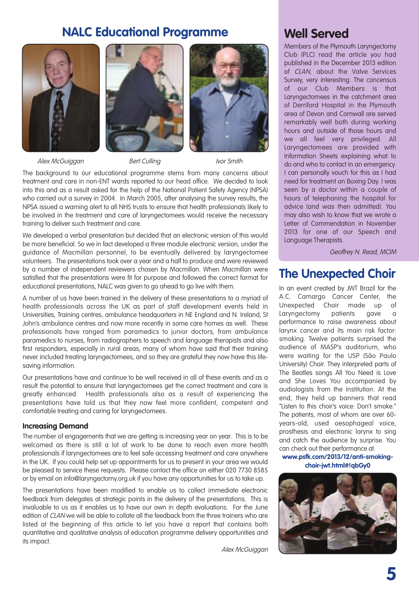## **NALC Educational Programme**







Alex McGuiggan Bert Culling Ivor Smith

The background to our educational programme stems from many concerns about treatment and care in non-ENT wards reported to our head office. We decided to look into this and as a result asked for the help of the National Patient Safety Agency (NPSA) who carried out a survey in 2004. In March 2005, after analysing the survey results, the NPSA issued a warning alert to all NHS trusts to ensure that health professionals likely to be involved in the treatment and care of laryngectomees would receive the necessary training to deliver such treatment and care.

We developed a verbal presentation but decided that an electronic version of this would be more beneficial. So we in fact developed a three module electronic version, under the guidance of Macmillan personnel, to be eventually delivered by laryngectomee volunteers. The presentations took over a year and a half to produce and were reviewed by a number of independent reviewers chosen by Macmillan. When Macmillan were satisfied that the presentations were fit for purpose and followed the correct format for educational presentations, NALC was given to go ahead to go live with them.

A number of us have been trained in the delivery of these presentations to a myriad of health professionals across the UK as part of staff development events held in Universities, Training centres, ambulance headquarters in NE England and N. Ireland, St John's ambulance centres and now more recently in some care homes as well. These professionals have ranged from paramedics to junior doctors, from ambulance paramedics to nurses, from radiographers to speech and language therapists and also first responders, especially in rural areas, many of whom have said that their training never included treating laryngectomees, and so they are grateful they now have this lifesaving information.

Our presentations have and continue to be well received in all of these events and as a result the potential to ensure that laryngectomees get the correct treatment and care is greatly enhanced. Health professionals also as a result of experiencing the presentations have told us that they now feel more confident, competent and comfortable treating and caring for laryngectomees.

#### **Increasing Demand**

The number of engagements that we are getting is increasing year on year. This is to be welcomed as there is still a lot of work to be done to reach even more health professionals if laryngectomees are to feel safe accessing treatment and care anywhere in the UK. If you could help set up appointments for us to present in your area we would be pleased to service these requests. Please contact the office on either 020 7730 8585 or by email on info@laryngectomy.org.uk if you have any opportunities for us to take up.

The presentations have been modified to enable us to collect immediate electronic feedback from delegates at strategic points in the delivery of the presentations. This is invaluable to us as it enables us to have our own in depth evaluations. For the June edition of CLAN we will be able to collate all the feedback from the three trainers who are listed at the beginning of this article to let you have a report that contains both quantitative and qualitative analysis of education programme delivery opportunities and its impact.

Alex McGuiggan

## **Well Served**

Members of the Plymouth Laryngectomy Club (PLC) read the article you had published in the December 2013 edition of CLAN, about the Valve Services Survey, very interesting. The concensus of our Club Members is that Laryngectomees in the catchment area of Derriford Hospital in the Plymouth area of Devon and Cornwall are served remarkably well both during working hours and outside of those hours and we all feel very privileged. All Laryngectomees are provided with Information Sheets explaining what to do and who to contact in an emergency. I can personally vouch for this as I had need for treatment on Boxing Day. I was seen by a doctor within a couple of hours of telephoning the hospital for advice (and was then admitted). You may also wish to know that we wrote a Letter of Commendation in November 2013 for one of our Speech and Language Therapists.

Geoffrey N. Read, MCIM

### **The Unexpected Choir**

In an event created by JWT Brazil for the A.C. Camargo Cancer Center, the Unexpected Choir made up of Laryngectomy patients gave a performance to raise awareness about larynx cancer and its main risk factor: smoking. Twelve patients surprised the audience of MASP's auditorium, who were waiting for the USP (São Paulo University) Choir. They interpreted parts of The Beatles songs All You Need is Love and She Loves You accompanied by audiologists from the institution. At the end, they held up banners that read "Listen to this choir's voice: Don't smoke." The patients, most of whom are over 60 years-old, used oesophageal voice, prosthesis and electronic larynx to sing and catch the audience by surprise. You can check out their performance at:

**www.psfk.com/2013/12/anti-smokingchoir-jwt.html#!qbGy0**

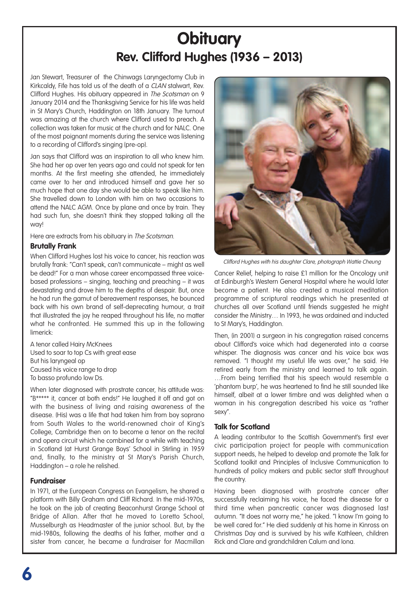## **Obituary Rev. Clifford Hughes (1936 – 2013)**

Jan Stewart, Treasurer of the Chinwags Laryngectomy Club in Kirkcaldy, Fife has told us of the death of a CLAN stalwart, Rev. Clifford Hughes. His obituary appeared in The Scotsman on 9 January 2014 and the Thanksgiving Service for his life was held in St Mary's Church, Haddington on 18th January. The turnout was amazing at the church where Clifford used to preach. A collection was taken for music at the church and for NALC. One of the most poignant moments during the service was listening to a recording of Clifford's singing (pre-op).

Jan says that Clifford was an inspiration to all who knew him. She had her op over ten years ago and could not speak for ten months. At the first meeting she attended, he immediately came over to her and introduced himself and gave her so much hope that one day she would be able to speak like him. She travelled down to London with him on two occasions to attend the NALC AGM. Once by plane and once by train. They had such fun, she doesn't think they stopped talking all the way!

Here are extracts from his obituary in The Scotsman.

#### **Brutally Frank**

When Clifford Hughes lost his voice to cancer, his reaction was brutally frank: "Can't speak, can't communicate – might as well be dead!" For a man whose career encompassed three voicebased professions – singing, teaching and preaching – it was devastating and drove him to the depths of despair. But, once he had run the gamut of bereavement responses, he bounced back with his own brand of self-deprecating humour, a trait that illustrated the joy he reaped throughout his life, no matter what he confronted. He summed this up in the following limerick:

A tenor called Hairy McKnees Used to soar to top Cs with great ease But his laryngeal op Caused his voice range to drop To basso profundo low Ds.

When later diagnosed with prostrate cancer, his attitude was: "B\*\*\*\*\* it, cancer at both ends!" He laughed it off and got on with the business of living and raising awareness of the disease. (His) was a life that had taken him from boy soprano from South Wales to the world-renowned choir of King's College, Cambridge then on to become a tenor on the recital and opera circuit which he combined for a while with teaching in Scotland (at Hurst Grange Boys' School in Stirling in 1959 and, finally, to the ministry at St Mary's Parish Church, Haddington – a role he relished.

#### **Fundraiser**

In 1971, at the European Congress on Evangelism, he shared a platform with Billy Graham and Cliff Richard. In the mid-1970s, he took on the job of creating Beaconhurst Grange School at Bridge of Allan. After that he moved to Loretto School, Musselburgh as Headmaster of the junior school. But, by the mid-1980s, following the deaths of his father, mother and a sister from cancer, he became a fundraiser for Macmillan



Clifford Hughes with his daughter Clare, photograph Wattie Cheung

Cancer Relief, helping to raise £1 million for the Oncology unit at Edinburgh's Western General Hospital where he would later become a patient. He also created a musical meditation programme of scriptural readings which he presented at churches all over Scotland until friends suggested he might consider the Ministry… In 1993, he was ordained and inducted to St Mary's, Haddington.

Then, (in 2001) a surgeon in his congregation raised concerns about Clifford's voice which had degenerated into a coarse whisper. The diagnosis was cancer and his voice box was removed. "I thought my useful life was over," he said. He retired early from the ministry and learned to talk again. …From being terrified that his speech would resemble a 'phantom burp', he was heartened to find he still sounded like himself, albeit at a lower timbre and was delighted when a woman in his congregation described his voice as "rather sexy".

#### **Talk for Scotland**

A leading contributor to the Scottish Government's first ever civic participation project for people with communication support needs, he helped to develop and promote the Talk for Scotland toolkit and Principles of Inclusive Communication to hundreds of policy makers and public sector staff throughout the country.

Having been diagnosed with prostrate cancer after successfully reclaiming his voice, he faced the disease for a third time when pancreatic cancer was diagnosed last autumn. "It does not worry me," he joked. "I know I'm going to be well cared for." He died suddenly at his home in Kinross on Christmas Day and is survived by his wife Kathleen, children Rick and Clare and grandchildren Calum and Iona.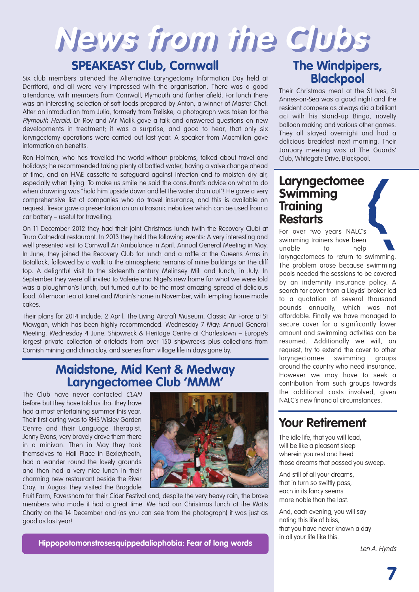## **News from the Clubs**

## **SPEAKEASY Club, Cornwall**

Six club members attended the Alternative Laryngectomy Information Day held at Derriford, and all were very impressed with the organisation. There was a good attendance, with members from Cornwall, Plymouth and further afield. For lunch there was an interesting selection of soft foods prepared by Anton, a winner of Master Chef. After an introduction from Julia, formerly from Treliske, a photograph was taken for the Plymouth Herald. Dr Roy and Mr Malik gave a talk and answered questions on new developments in treatment; it was a surprise, and good to hear, that only six laryngectomy operations were carried out last year. A speaker from Macmillan gave information on benefits.

Ron Holman, who has travelled the world without problems, talked about travel and holidays; he recommended taking plenty of bottled water, having a valve change ahead of time, and an HME cassette to safeguard against infection and to moisten dry air, especially when flying. To make us smile he said the consultant's advice on what to do when drowning was "hold him upside down and let the water drain out"! He gave a very comprehensive list of companies who do travel insurance, and this is available on request. Trevor gave a presentation on an ultrasonic nebulizer which can be used from a car battery – useful for travelling.

On 11 December 2012 they had their joint Christmas lunch (with the Recovery Club) at Truro Cathedral restaurant. In 2013 they held the following events: A very interesting and well presented visit to Cornwall Air Ambulance in April. Annual General Meeting in May. In June, they joined the Recovery Club for lunch and a raffle at the Queens Arms in Botallack, followed by a walk to the atmospheric remains of mine buildings on the cliff top. A delightful visit to the sixteenth century Melinsey Mill and lunch, in July. In September they were all invited to Valerie and Nigel's new home for what we were told was a ploughman's lunch, but turned out to be the most amazing spread of delicious food. Afternoon tea at Janet and Martin's home in November, with tempting home made cakes.

Their plans for 2014 include: 2 April: The Living Aircraft Museum, Classic Air Force at St Mawgan, which has been highly recommended. Wednesday 7 May: Annual General Meeting. Wednesday 4 June: Shipwreck & Heritage Centre at Charlestown – Europe's largest private collection of artefacts from over 150 shipwrecks plus collections from Cornish mining and china clay, and scenes from village life in days gone by.

## **Maidstone, Mid Kent & Medway Laryngectomee Club 'MMM'**

The Club have never contacted CLAN before but they have told us that they have had a most entertaining summer this year. Their first outing was to RHS Wisley Garden Centre and their Language Therapist, Jenny Evans, very bravely drove them there in a minivan. Then in May they took themselves to Hall Place in Bexleyheath, had a wander round the lovely grounds and then had a very nice lunch in their charming new restaurant beside the River Cray. In August they visited the Brogdale



Fruit Farm, Faversham for their Cider Festival and, despite the very heavy rain, the brave members who made it had a great time. We had our Christmas lunch at the Watts Charity on the 14 December and (as you can see from the photograph) it was just as good as last year!

## **The Windpipers, Blackpool**

Their Christmas meal at the St Ives, St Annes-on-Sea was a good night and the resident compere as always did a brilliant act with his stand-up Bingo, novelty balloon making and various other games. They all stayed overnight and had a delicious breakfast next morning. Their January meeting was at The Guards' Club, Whitegate Drive, Blackpool.

## **Laryngectomee Swimming Training Restarts**

For over two years NALC's swimming trainers have been unable to help laryngectomees to return to swimming. The problem arose because swimming pools needed the sessions to be covered by an indemnity insurance policy. A search for cover from a Lloyds' broker led to a quotation of several thousand pounds annually, which was not affordable. Finally we have managed to secure cover for a significantly lower amount and swimming activities can be resumed. Additionally we will, on request, try to extend the cover to other laryngectomee swimming groups around the country who need insurance. However we may have to seek a contribution from such groups towards the additional costs involved, given NALC's new financial circumstances.

## **Your Retirement**

The idle life, that you will lead, will be like a pleasant sleep wherein you rest and heed those dreams that passed you sweep.

And still of all your dreams, that in turn so swiftly pass, each in its fancy seems more noble than the last.

And, each evening, you will say noting this life of bliss, that you have never known a day in all your life like this.

**Hippopotomonstrosesquippedaliophobia: Fear of long words**

Len A. Hynds